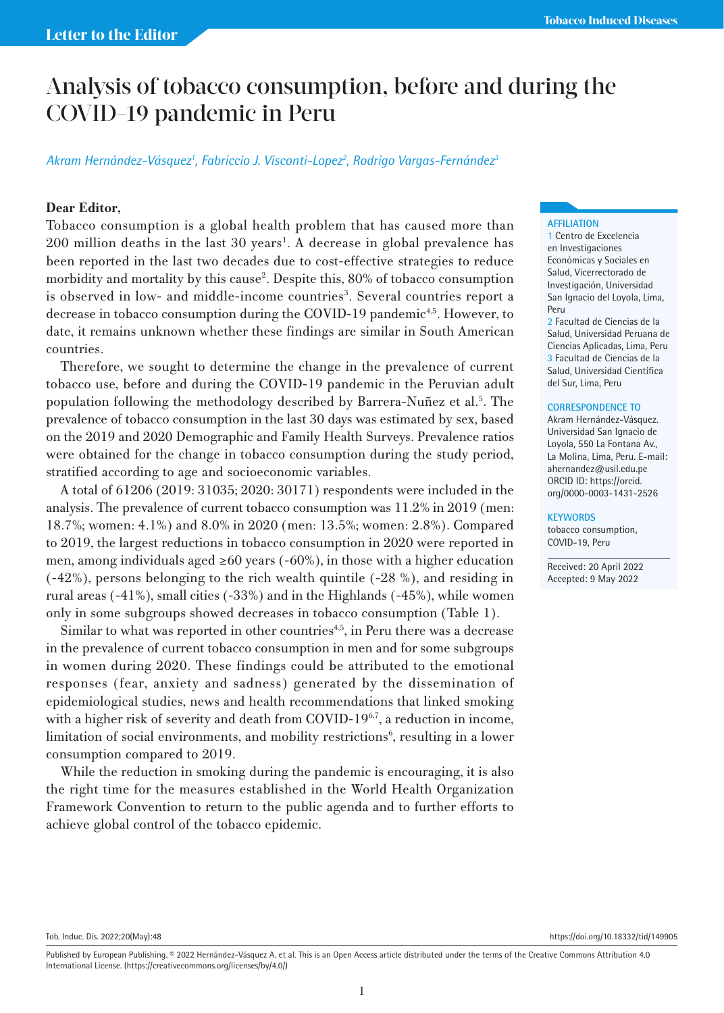# Analysis of tobacco consumption, before and during the COVID-19 pandemic in Peru

# *Akram Hernández-Vásquez1 , Fabriccio J. Visconti-Lopez2 , Rodrigo Vargas-Fernández3*

# **Dear Editor,**

Tobacco consumption is a global health problem that has caused more than 200 million deaths in the last 30 years<sup>1</sup>. A decrease in global prevalence has been reported in the last two decades due to cost-effective strategies to reduce morbidity and mortality by this cause<sup>2</sup>. Despite this, 80% of tobacco consumption is observed in low- and middle-income countries<sup>3</sup>. Several countries report a decrease in tobacco consumption during the COVID-19 pandemic<sup>4,5</sup>. However, to date, it remains unknown whether these findings are similar in South American countries.

Therefore, we sought to determine the change in the prevalence of current tobacco use, before and during the COVID-19 pandemic in the Peruvian adult population following the methodology described by Barrera-Nuñez et al.<sup>5</sup>. The prevalence of tobacco consumption in the last 30 days was estimated by sex, based on the 2019 and 2020 Demographic and Family Health Surveys. Prevalence ratios were obtained for the change in tobacco consumption during the study period, stratified according to age and socioeconomic variables.

A total of 61206 (2019: 31035; 2020: 30171) respondents were included in the analysis. The prevalence of current tobacco consumption was 11.2% in 2019 (men: 18.7%; women: 4.1%) and 8.0% in 2020 (men: 13.5%; women: 2.8%). Compared to 2019, the largest reductions in tobacco consumption in 2020 were reported in men, among individuals aged ≥60 years (-60%), in those with a higher education (-42%), persons belonging to the rich wealth quintile (-28 %), and residing in rural areas (-41%), small cities (-33%) and in the Highlands (-45%), while women only in some subgroups showed decreases in tobacco consumption (Table 1).

Similar to what was reported in other countries<sup> $4,5$ </sup>, in Peru there was a decrease in the prevalence of current tobacco consumption in men and for some subgroups in women during 2020. These findings could be attributed to the emotional responses (fear, anxiety and sadness) generated by the dissemination of epidemiological studies, news and health recommendations that linked smoking with a higher risk of severity and death from COVID-19 $6,7$ , a reduction in income, limitation of social environments, and mobility restrictions<sup>6</sup>, resulting in a lower consumption compared to 2019.

While the reduction in smoking during the pandemic is encouraging, it is also the right time for the measures established in the World Health Organization Framework Convention to return to the public agenda and to further efforts to achieve global control of the tobacco epidemic.

## **AFFILIATION**

1 Centro de Excelencia en Investigaciones Económicas y Sociales en Salud, Vicerrectorado de Investigación, Universidad San Ignacio del Loyola, Lima, Peru

2 Facultad de Ciencias de la Salud, Universidad Peruana de Ciencias Aplicadas, Lima, Peru 3 Facultad de Ciencias de la Salud, Universidad Científica del Sur, Lima, Peru

#### **CORRESPONDENCE TO**

Akram Hernández-Vásquez. Universidad San Ignacio de Loyola, 550 La Fontana Av., La Molina, Lima, Peru. E-mail: ahernandez@usil.edu.pe ORCID ID: https://orcid. org/0000-0003-1431-2526

## **KEYWORDS**

tobacco consumption, COVID-19, Peru

Received: 20 April 2022 Accepted: 9 May 2022

Tob. Induc. Dis. 2022;20(May):48 https://doi.org/10.18332/tid/149905

Published by European Publishing. © 2022 Hernández-Vásquez A. et al. This is an Open Access article distributed under the terms of the Creative Commons Attribution 4.0 International License. (https://creativecommons.org/licenses/by/4.0/)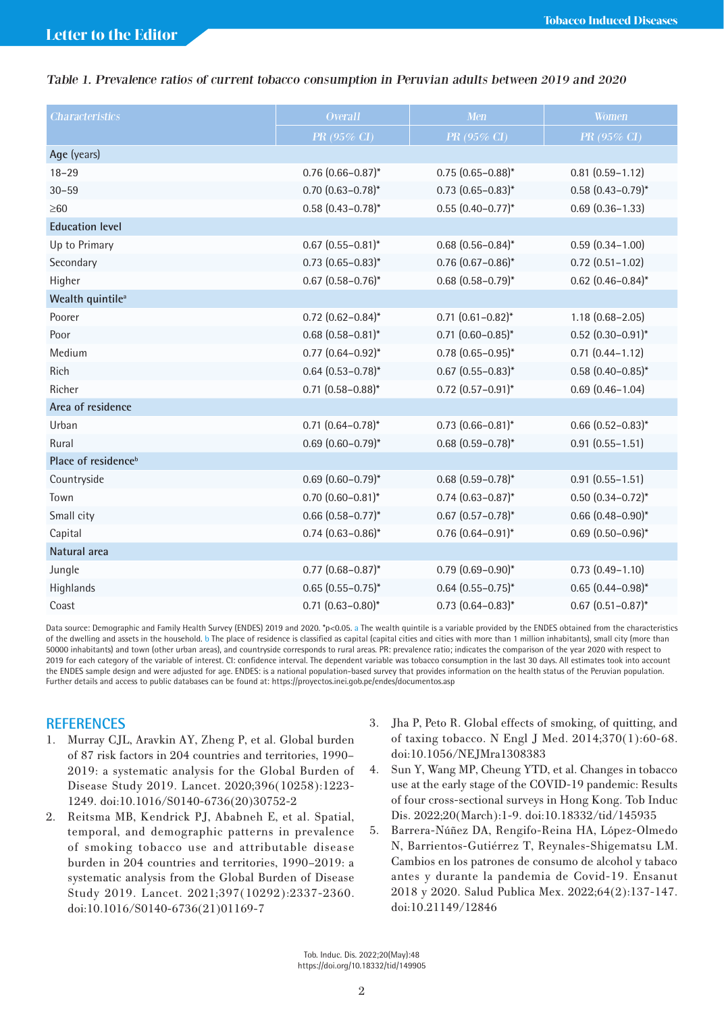# Table 1. Prevalence ratios of current tobacco consumption in Peruvian adults between 2019 and 2020

| <b>Characteristics</b>          | <b>Overall</b>           | <b>Men</b>               | <b>Women</b>             |
|---------------------------------|--------------------------|--------------------------|--------------------------|
|                                 | PR (95% CI)              | PR (95% CI)              | PR (95% CI)              |
| Age (years)                     |                          |                          |                          |
| $18 - 29$                       | $0.76$ $(0.66 - 0.87)^*$ | $0.75(0.65 - 0.88)^*$    | $0.81$ $(0.59 - 1.12)$   |
| $30 - 59$                       | $0.70$ $(0.63 - 0.78)^*$ | $0.73$ $(0.65 - 0.83)^*$ | $0.58$ $(0.43 - 0.79)^*$ |
| $\geq 60$                       | $0.58$ $(0.43 - 0.78)^*$ | $0.55$ $(0.40 - 0.77)^*$ | $0.69$ $(0.36 - 1.33)$   |
| <b>Education level</b>          |                          |                          |                          |
| Up to Primary                   | $0.67$ $(0.55 - 0.81)$ * | $0.68$ $(0.56 - 0.84)$ * | $0.59(0.34 - 1.00)$      |
| Secondary                       | $0.73$ $(0.65 - 0.83)^*$ | $0.76$ $(0.67 - 0.86)^*$ | $0.72$ $(0.51 - 1.02)$   |
| Higher                          | $0.67$ $(0.58 - 0.76)^*$ | $0.68$ $(0.58 - 0.79)^*$ | $0.62$ (0.46-0.84)*      |
| Wealth quintile <sup>a</sup>    |                          |                          |                          |
| Poorer                          | $0.72$ (0.62-0.84)*      | $0.71$ $(0.61 - 0.82)^*$ | $1.18(0.68 - 2.05)$      |
| Poor                            | $0.68$ $(0.58 - 0.81)^*$ | $0.71$ $(0.60 - 0.85)^*$ | $0.52$ $(0.30 - 0.91)$ * |
| Medium                          | $0.77$ $(0.64 - 0.92)^*$ | $0.78$ $(0.65 - 0.95)^*$ | $0.71$ $(0.44 - 1.12)$   |
| <b>Rich</b>                     | $0.64$ $(0.53 - 0.78)^*$ | $0.67$ $(0.55 - 0.83)^*$ | $0.58$ (0.40-0.85)*      |
| Richer                          | $0.71$ $(0.58 - 0.88)^*$ | $0.72$ $(0.57 - 0.91)^*$ | $0.69$ $(0.46 - 1.04)$   |
| Area of residence               |                          |                          |                          |
| Urban                           | $0.71$ $(0.64 - 0.78)^*$ | $0.73$ $(0.66 - 0.81)^*$ | $0.66$ $(0.52 - 0.83)^*$ |
| Rural                           | $0.69$ $(0.60 - 0.79)^*$ | $0.68$ $(0.59 - 0.78)^*$ | $0.91(0.55 - 1.51)$      |
| Place of residence <sup>b</sup> |                          |                          |                          |
| Countryside                     | $0.69$ $(0.60 - 0.79)^*$ | $0.68$ $(0.59 - 0.78)^*$ | $0.91(0.55 - 1.51)$      |
| Town                            | $0.70$ $(0.60 - 0.81)$ * | $0.74$ $(0.63 - 0.87)^*$ | $0.50$ $(0.34 - 0.72)^*$ |
| Small city                      | $0.66$ $(0.58 - 0.77)^*$ | $0.67$ $(0.57 - 0.78)^*$ | $0.66$ $(0.48 - 0.90)$ * |
| Capital                         | $0.74$ $(0.63 - 0.86)^*$ | $0.76$ $(0.64 - 0.91)^*$ | $0.69$ $(0.50 - 0.96)^*$ |
| Natural area                    |                          |                          |                          |
| Jungle                          | $0.77$ $(0.68 - 0.87)^*$ | $0.79$ $(0.69 - 0.90)^*$ | $0.73$ $(0.49 - 1.10)$   |
| Highlands                       | $0.65(0.55 - 0.75)^{*}$  | $0.64$ $(0.55 - 0.75)^*$ | $0.65$ $(0.44 - 0.98)^*$ |
| Coast                           | $0.71$ $(0.63 - 0.80)^*$ | $0.73$ $(0.64 - 0.83)^*$ | $0.67$ $(0.51 - 0.87)^*$ |

Data source: Demographic and Family Health Survey (ENDES) 2019 and 2020. \*p<0.05. a The wealth quintile is a variable provided by the ENDES obtained from the characteristics of the dwelling and assets in the household. b The place of residence is classified as capital (capital cities and cities with more than 1 million inhabitants), small city (more than 50000 inhabitants) and town (other urban areas), and countryside corresponds to rural areas. PR: prevalence ratio; indicates the comparison of the year 2020 with respect to 2019 for each category of the variable of interest. CI: confidence interval. The dependent variable was tobacco consumption in the last 30 days. All estimates took into account the ENDES sample design and were adjusted for age. ENDES: is a national population-based survey that provides information on the health status of the Peruvian population. Further details and access to public databases can be found at: https://proyectos.inei.gob.pe/endes/documentos.asp

# **REFERENCES**

- 1. Murray CJL, Aravkin AY, Zheng P, et al. Global burden of 87 risk factors in 204 countries and territories, 1990– 2019: a systematic analysis for the Global Burden of Disease Study 2019. Lancet. 2020;396(10258):1223- 1249. doi:10.1016/S0140-6736(20)30752-2
- 2. Reitsma MB, Kendrick PJ, Ababneh E, et al. Spatial, temporal, and demographic patterns in prevalence of smoking tobacco use and attributable disease burden in 204 countries and territories, 1990–2019: a systematic analysis from the Global Burden of Disease Study 2019. Lancet. 2021;397(10292):2337-2360. doi:10.1016/S0140-6736(21)01169-7
- 3. Jha P, Peto R. Global effects of smoking, of quitting, and of taxing tobacco. N Engl J Med. 2014;370(1):60-68. doi:10.1056/NEJMra1308383
- 4. Sun Y, Wang MP, Cheung YTD, et al. Changes in tobacco use at the early stage of the COVID-19 pandemic: Results of four cross-sectional surveys in Hong Kong. Tob Induc Dis. 2022;20(March):1-9. doi:10.18332/tid/145935
- 5. Barrera-Núñez DA, Rengifo-Reina HA, López-Olmedo N, Barrientos-Gutiérrez T, Reynales-Shigematsu LM. Cambios en los patrones de consumo de alcohol y tabaco antes y durante la pandemia de Covid-19. Ensanut 2018 y 2020. Salud Publica Mex. 2022;64(2):137-147. doi:10.21149/12846